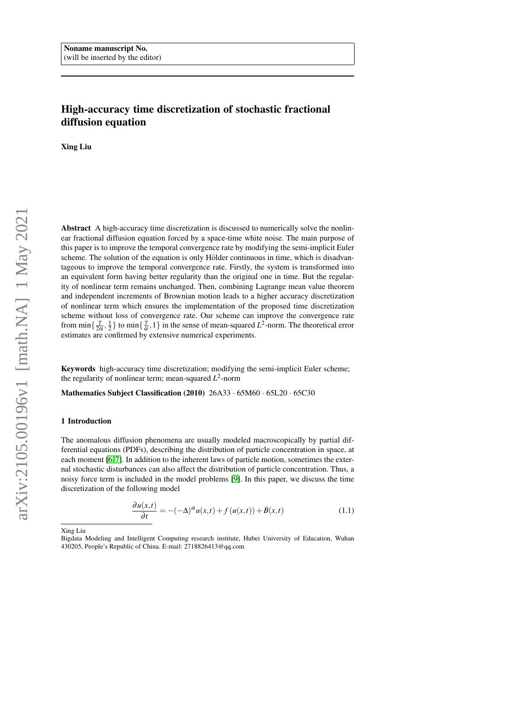# High-accuracy time discretization of stochastic fractional diffusion equation

Xing Liu

Abstract A high-accuracy time discretization is discussed to numerically solve the nonlinear fractional diffusion equation forced by a space-time white noise. The main purpose of this paper is to improve the temporal convergence rate by modifying the semi-implicit Euler scheme. The solution of the equation is only Hölder continuous in time, which is disadvantageous to improve the temporal convergence rate. Firstly, the system is transformed into an equivalent form having better regularity than the original one in time. But the regularity of nonlinear term remains unchanged. Then, combining Lagrange mean value theorem and independent increments of Brownian motion leads to a higher accuracy discretization of nonlinear term which ensures the implementation of the proposed time discretization scheme without loss of convergence rate. Our scheme can improve the convergence rate from min $\{\frac{\gamma}{2\alpha}, \frac{1}{2}\}\$ to min $\{\frac{\gamma}{\alpha}, 1\}$  in the sense of mean-squared  $L^2$ -norm. The theoretical error estimates are confirmed by extensive numerical experiments.

Keywords high-accuracy time discretization; modifying the semi-implicit Euler scheme; the regularity of nonlinear term; mean-squared  $L^2$ -norm

Mathematics Subject Classification (2010) 26A33 · 65M60 · 65L20 · 65C30

### 1 Introduction

The anomalous diffusion phenomena are usually modeled macroscopically by partial differential equations (PDFs), describing the distribution of particle concentration in space, at each moment [\[6,](#page-16-0)7]. In addition to the inherent laws of particle motion, sometimes the external stochastic disturbances can also affect the distribution of particle concentration. Thus, a noisy force term is included in the model problems [\[9\]](#page-16-2). In this paper, we discuss the time discretization of the following model

<span id="page-0-0"></span>
$$
\frac{\partial u(x,t)}{\partial t} = -(-\Delta)^{\alpha} u(x,t) + f(u(x,t)) + \dot{B}(x,t)
$$
\n(1.1)

Xing Liu

Bigdata Modeling and Intelligent Computing research institute, Hubei University of Education, Wuhan 430205, People's Republic of China. E-mail: 2718826413@qq.com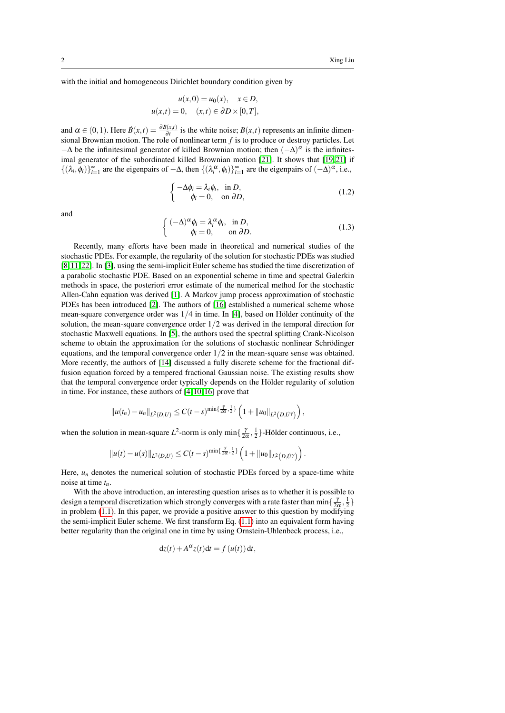with the initial and homogeneous Dirichlet boundary condition given by

$$
u(x,0) = u_0(x), \quad x \in D,
$$
  

$$
u(x,t) = 0, \quad (x,t) \in \partial D \times [0,T],
$$

and  $\alpha \in (0,1)$ . Here  $\dot{B}(x,t) = \frac{\partial B(x,t)}{\partial t}$  is the white noise;  $B(x,t)$  represents an infinite dimensional Brownian motion. The role of nonlinear term *f* is to produce or destroy particles. Let  $-\Delta$  be the infinitesimal generator of killed Brownian motion; then  $(-\Delta)^{\alpha}$  is the infinitesimal generator of the subordinated killed Brownian motion  $[21]$ . It shows that  $[19, 21]$  $[19, 21]$  if { $(\lambda_i, \phi_i)$ }<sup>∞</sup><sub>*i*=1</sub> are the eigenpairs of −∆, then { $(\lambda_i^{\alpha}, \phi_i)$ }<sup>∞</sup><sub>*i*=1</sub> are the eigenpairs of  $(-\Delta)^{\alpha}$ , i.e.,

$$
\begin{cases}\n-\Delta \phi_i = \lambda_i \phi_i, & \text{in } D, \\
\phi_i = 0, & \text{on } \partial D,\n\end{cases}
$$
\n(1.2)

and

$$
\begin{cases}\n(-\Delta)^{\alpha}\phi_i = \lambda_i^{\alpha}\phi_i, & \text{in } D, \\
\phi_i = 0, & \text{on } \partial D.\n\end{cases}
$$
\n(1.3)

Recently, many efforts have been made in theoretical and numerical studies of the stochastic PDEs. For example, the regularity of the solution for stochastic PDEs was studied [\[8,](#page-16-4) [11,](#page-16-5) [22\]](#page-17-1). In [\[3\]](#page-16-6), using the semi-implicit Euler scheme has studied the time discretization of a parabolic stochastic PDE. Based on an exponential scheme in time and spectral Galerkin methods in space, the posteriori error estimate of the numerical method for the stochastic Allen-Cahn equation was derived [\[1\]](#page-16-7). A Markov jump process approximation of stochastic PDEs has been introduced [\[2\]](#page-16-8). The authors of [\[16\]](#page-16-9) established a numerical scheme whose mean-square convergence order was  $1/4$  in time. In [\[4\]](#page-16-10), based on Hölder continuity of the solution, the mean-square convergence order 1/2 was derived in the temporal direction for stochastic Maxwell equations. In [\[5\]](#page-16-11), the authors used the spectral splitting Crank-Nicolson scheme to obtain the approximation for the solutions of stochastic nonlinear Schrödinger equations, and the temporal convergence order  $1/2$  in the mean-square sense was obtained. More recently, the authors of [\[14\]](#page-16-12) discussed a fully discrete scheme for the fractional diffusion equation forced by a tempered fractional Gaussian noise. The existing results show that the temporal convergence order typically depends on the Hölder regularity of solution in time. For instance, these authors of [\[4,](#page-16-10) [10,](#page-16-13) [16\]](#page-16-9) prove that

$$
||u(t_n)-u_n||_{L^2(D,U)} \leq C(t-s)^{\min\{\frac{\gamma}{2\alpha},\frac{1}{2}\}}\left(1+||u_0||_{L^2(D,U^{\gamma})}\right),
$$

when the solution in mean-square  $L^2$ -norm is only min $\{\frac{\gamma}{2\alpha}, \frac{1}{2}\}$ -Hölder continuous, i.e.,

$$
||u(t)-u(s)||_{L^2(D,U)} \leq C(t-s)^{\min\{\frac{\gamma}{2\alpha},\frac{1}{2}\}}\left(1+||u_0||_{L^2(D,U^{\gamma})}\right).
$$

Here,  $u_n$  denotes the numerical solution of stochastic PDEs forced by a space-time white noise at time *tn*.

With the above introduction, an interesting question arises as to whether it is possible to design a temporal discretization which strongly converges with a rate faster than  $\min\{\frac{\gamma}{2\alpha},\frac{1}{2}\}$ in problem [\(1.1\)](#page-0-0). In this paper, we provide a positive answer to this question by modifying the semi-implicit Euler scheme. We first transform Eq. [\(1.1\)](#page-0-0) into an equivalent form having better regularity than the original one in time by using Ornstein-Uhlenbeck process, i.e.,

$$
dz(t) + A^{\alpha}z(t)dt = f(u(t))dt,
$$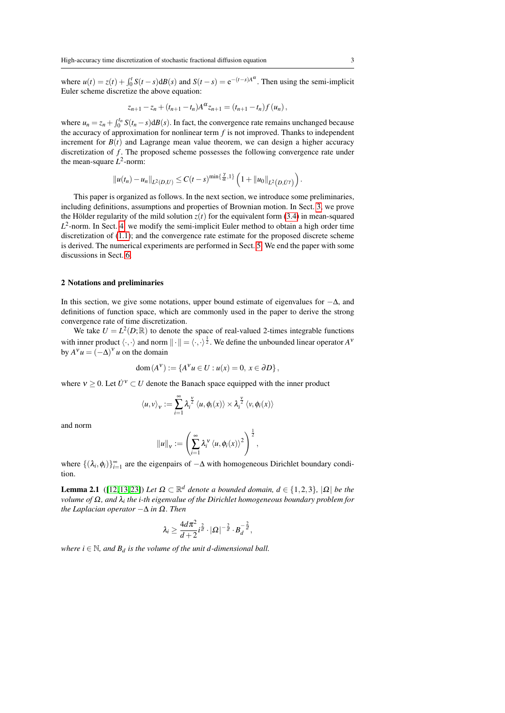where  $u(t) = z(t) + \int_0^t S(t-s) dB(s)$  and  $S(t-s) = e^{-(t-s)A^{\alpha}}$ . Then using the semi-implicit Euler scheme discretize the above equation:

$$
z_{n+1} - z_n + (t_{n+1} - t_n)A^{\alpha} z_{n+1} = (t_{n+1} - t_n) f(u_n),
$$

where  $u_n = z_n + \int_0^{t_n} S(t_n - s) dB(s)$ . In fact, the convergence rate remains unchanged because the accuracy of approximation for nonlinear term *f* is not improved. Thanks to independent increment for  $B(t)$  and Lagrange mean value theorem, we can design a higher accuracy discretization of *f*. The proposed scheme possesses the following convergence rate under the mean-square  $L^2$ -norm:

$$
\|u(t_n)-u_n\|_{L^2(D,U)}\leq C(t-s)^{\min\{\frac{\gamma}{\alpha},1\}}\left(1+\|u_0\|_{L^2(D,U^{\gamma})}\right).
$$

This paper is organized as follows. In the next section, we introduce some preliminaries, including definitions, assumptions and properties of Brownian motion. In Sect. [3,](#page-3-0) we prove the Hölder regularity of the mild solution  $z(t)$  for the equivalent form [\(3.4\)](#page-5-0) in mean-squared  $L^2$ -norm. In Sect. [4,](#page-6-0) we modify the semi-implicit Euler method to obtain a high order time discretization of [\(1.1\)](#page-0-0); and the convergence rate estimate for the proposed discrete scheme is derived. The numerical experiments are performed in Sect. [5.](#page-14-0) We end the paper with some discussions in Sect. [6.](#page-16-14)

## 2 Notations and preliminaries

In this section, we give some notations, upper bound estimate of eigenvalues for  $-\Delta$ , and definitions of function space, which are commonly used in the paper to derive the strong convergence rate of time discretization.

We take  $U = L^2(D;\mathbb{R})$  to denote the space of real-valued 2-times integrable functions with inner product  $\langle \cdot, \cdot \rangle$  and norm  $\|\cdot\| = \langle \cdot, \cdot \rangle^{\frac{1}{2}}$ . We define the unbounded linear operator  $A^{\nu}$ by  $A^{\nu}u = (-\Delta)^{\nu}u$  on the domain

$$
dom(A^{\mathbf{V}}) := \{A^{\mathbf{V}}u \in U : u(x) = 0, x \in \partial D\},\
$$

where  $v \ge 0$ . Let  $\dot{U}^v \subset U$  denote the Banach space equipped with the inner product

$$
\langle u, v \rangle_{v} := \sum_{i=1}^{\infty} \lambda_i^{\frac{v}{2}} \langle u, \phi_i(x) \rangle \times \lambda_i^{\frac{v}{2}} \langle v, \phi_i(x) \rangle
$$

and norm

$$
||u||_v := \left(\sum_{i=1}^{\infty} \lambda_i^{\nu} \langle u, \phi_i(x) \rangle^2\right)^{\frac{1}{2}},
$$

where  $\{(\lambda_i, \phi_i)\}_{i=1}^{\infty}$  are the eigenpairs of  $-\Delta$  with homogeneous Dirichlet boundary condition.

<span id="page-2-0"></span>**Lemma 2.1** ([\[12,](#page-16-15) [13,](#page-16-16) [23\]](#page-17-2)) Let  $\Omega \subset \mathbb{R}^d$  denote a bounded domain,  $d \in \{1,2,3\}$ ,  $|\Omega|$  be the *volume of* Ω*, and* λ*<sup>i</sup> the i-th eigenvalue of the Dirichlet homogeneous boundary problem for the Laplacian operator* −∆ *in* Ω*. Then*

$$
\lambda_i \geq \frac{4d\pi^2}{d+2} i^{\frac{2}{d}} \cdot |\Omega|^{-\frac{2}{d}} \cdot B_d^{-\frac{2}{d}},
$$

<span id="page-2-1"></span>*where*  $i \in \mathbb{N}$ , and  $B_d$  *is the volume of the unit d-dimensional ball.*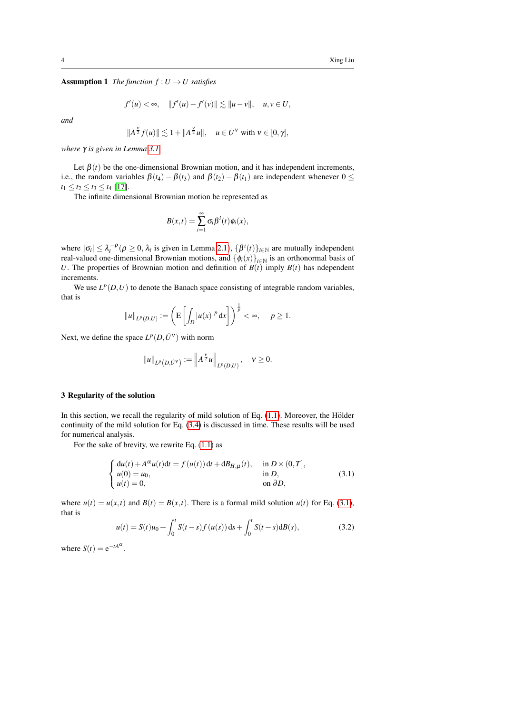**Assumption 1** *The function*  $f: U \to U$  *satisfies* 

$$
f'(u) < \infty
$$
,  $||f'(u) - f'(v)|| \lesssim ||u - v||$ ,  $u, v \in U$ ,

*and*

$$
||A^{\frac{\nu}{2}}f(u)|| \lesssim 1 + ||A^{\frac{\nu}{2}}u||, \quad u \in \dot{U}^{\nu} \text{ with } \nu \in [0, \gamma],
$$

*where* γ *is given in Lemma [3.1.](#page-4-0)*

Let  $\beta(t)$  be the one-dimensional Brownian motion, and it has independent increments, i.e., the random variables  $\beta(t_4) - \beta(t_3)$  and  $\beta(t_2) - \beta(t_1)$  are independent whenever  $0 \le$  $t_1 \le t_2 \le t_3 \le t_4$  [\[17\]](#page-16-17).

The infinite dimensional Brownian motion be represented as

$$
B(x,t)=\sum_{i=1}^{\infty}\sigma_i\beta^i(t)\phi_i(x),
$$

where  $|\sigma_i| \leq \lambda_i^{-\rho}$  ( $\rho \geq 0$ ,  $\lambda_i$  is given in Lemma [2.1](#page-2-0)),  $\{\beta^i(t)\}_{t \in \mathbb{N}}$  are mutually independent real-valued one-dimensional Brownian motions, and  $\{\phi_i(x)\}_{i\in\mathbb{N}}$  is an orthonormal basis of *U*. The properties of Brownian motion and definition of  $B(t)$  imply  $B(t)$  has ndependent increments.

We use  $L^p(D, U)$  to denote the Banach space consisting of integrable random variables, that is

$$
||u||_{L^p(D,U)} := \left( \mathbb{E}\left[\int_D |u(x)|^p dx\right] \right)^{\frac{1}{p}} < \infty, \quad p \ge 1.
$$

Next, we define the space  $L^p(D, \dot{U}^{\nu})$  with norm

$$
||u||_{L^p(D, \dot{U}^{\nu})} := ||A^{\frac{\nu}{2}}u||_{L^p(D, U)}, \quad \nu \ge 0.
$$

## <span id="page-3-0"></span>3 Regularity of the solution

In this section, we recall the regularity of mild solution of Eq.  $(1.1)$ . Moreover, the Hölder continuity of the mild solution for Eq. [\(3.4\)](#page-5-0) is discussed in time. These results will be used for numerical analysis.

For the sake of brevity, we rewrite Eq. [\(1.1\)](#page-0-0) as

<span id="page-3-1"></span>
$$
\begin{cases}\n\mathrm{d}u(t) + A^{\alpha}u(t)\mathrm{d}t = f(u(t))\,\mathrm{d}t + \mathrm{d}B_{H,\mu}(t), & \text{in } D \times (0,T], \\
u(0) = u_0, & \text{in } D, \\
u(t) = 0, & \text{on } \partial D,\n\end{cases}
$$
\n(3.1)

where  $u(t) = u(x,t)$  and  $B(t) = B(x,t)$ . There is a formal mild solution  $u(t)$  for Eq. [\(3.1\)](#page-3-1), that is

<span id="page-3-2"></span>
$$
u(t) = S(t)u_0 + \int_0^t S(t-s)f(u(s))\,\mathrm{d} s + \int_0^t S(t-s)\,\mathrm{d} B(s),\tag{3.2}
$$

where  $S(t) = e^{-tA^{\alpha}}$ .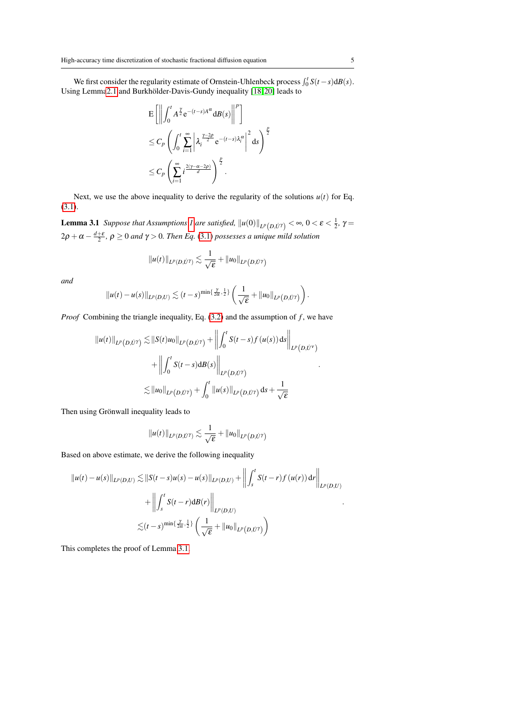We first consider the regularity estimate of Ornstein-Uhlenbeck process  $\int_0^t S(t-s)dB(s)$ . Using Lemm[a2.1](#page-2-0) and Burkhölder-Davis-Gundy inequality [\[18,](#page-16-18) [20\]](#page-17-3) leads to

$$
\begin{split} & \mathbf{E} \left[ \left\| \int_0^t A^{\frac{\gamma}{2}} e^{-(t-s)A^{\alpha}} \mathrm{d}B(s) \right\|^p \right] \\ &\leq C_p \left( \int_0^t \sum_{i=1}^{\infty} \left| \lambda_i^{\frac{\gamma-2p}{2}} e^{-(t-s)\lambda_i^{\alpha}} \right|^2 \mathrm{d}s \right)^{\frac{p}{2}} \\ &\leq C_p \left( \sum_{i=1}^{\infty} i^{\frac{2(\gamma - \alpha - 2p)}{\alpha}} \right)^{\frac{p}{2}} . \end{split}
$$

<span id="page-4-0"></span>Next, we use the above inequality to derive the regularity of the solutions  $u(t)$  for Eq. [\(3.1\)](#page-3-1).

**Lemma 3.1** Suppose that Assumptions [1](#page-2-1) are satisfied,  $\|u(0)\|_{L^p(D,\dot{U}^\gamma)} < \infty$ ,  $0 < \varepsilon < \frac{1}{2}$ ,  $\gamma =$  $2\rho + \alpha - \frac{d+\varepsilon}{2}$ ,  $\rho \ge 0$  and  $\gamma > 0$ . Then Eq. [\(3.1\)](#page-3-1) possesses a unique mild solution

$$
||u(t)||_{L^p(D,\dot{U}^{\gamma})} \lesssim \frac{1}{\sqrt{\varepsilon}} + ||u_0||_{L^p(D,\dot{U}^{\gamma})}
$$

*and*

$$
||u(t)-u(s)||_{L^p(D,U)} \lesssim (t-s)^{\min\{\frac{\gamma}{2\alpha},\frac{1}{2}\}}\left(\frac{1}{\sqrt{\varepsilon}}+||u_0||_{L^p(D,U^{\gamma})}\right).
$$

*Proof* Combining the triangle inequality, Eq. [\(3.2\)](#page-3-2) and the assumption of *f*, we have

$$
\|u(t)\|_{L^p(D,\dot{U}^{\gamma})} \lesssim \|S(t)u_0\|_{L^p(D,\dot{U}^{\gamma})} + \left\| \int_0^t S(t-s)f(u(s)) ds \right\|_{L^p(D,\dot{U}^{\gamma})}
$$
  
+ 
$$
\left\| \int_0^t S(t-s) dB(s) \right\|_{L^p(D,\dot{U}^{\gamma})}
$$
  

$$
\lesssim \|u_0\|_{L^p(D,\dot{U}^{\gamma})} + \int_0^t \|u(s)\|_{L^p(D,\dot{U}^{\gamma})} ds + \frac{1}{\sqrt{\varepsilon}}
$$

Then using Grönwall inequality leads to

$$
||u(t)||_{L^p(D,\dot{U}^{\gamma})} \lesssim \frac{1}{\sqrt{\varepsilon}} + ||u_0||_{L^p(D,\dot{U}^{\gamma})}
$$

Based on above estimate, we derive the following inequality

$$
||u(t) - u(s)||_{L^{p}(D,U)} \lesssim ||S(t - s)u(s) - u(s)||_{L^{p}(D,U)} + \left\| \int_{s}^{t} S(t - r) f(u(r)) dr \right\|_{L^{p}(D,U)} + \left\| \int_{s}^{t} S(t - r) dB(r) \right\|_{L^{p}(D,U)} \lesssim (t - s)^{\min\{\frac{\gamma}{2\alpha},\frac{1}{2}\}} \left( \frac{1}{\sqrt{\varepsilon}} + ||u_{0}||_{L^{p}(D,U')} \right)
$$

This completes the proof of Lemma [3.1.](#page-4-0)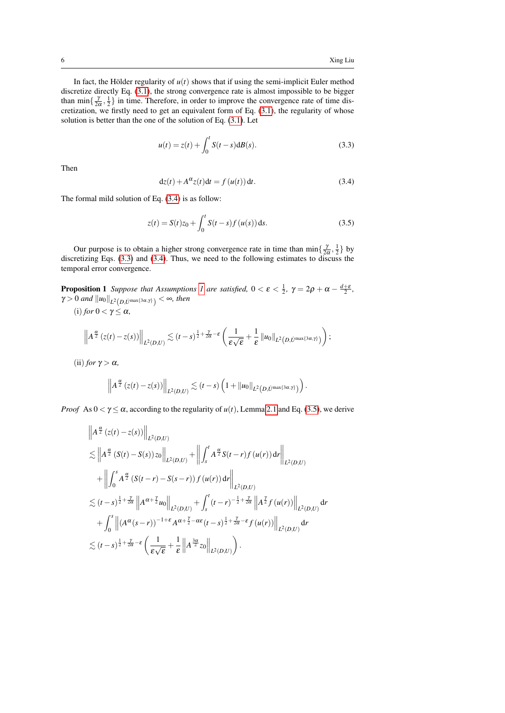In fact, the Hölder regularity of  $u(t)$  shows that if using the semi-implicit Euler method discretize directly Eq. [\(3.1\)](#page-3-1), the strong convergence rate is almost impossible to be bigger than  $\min\{\frac{\gamma}{2\alpha},\frac{1}{2}\}\$  in time. Therefore, in order to improve the convergence rate of time discretization, we firstly need to get an equivalent form of Eq.  $(3.1)$ , the regularity of whose solution is better than the one of the solution of Eq. [\(3.1\)](#page-3-1). Let

<span id="page-5-1"></span>
$$
u(t) = z(t) + \int_0^t S(t - s) dB(s).
$$
 (3.3)

Then

<span id="page-5-0"></span>
$$
dz(t) + A^{\alpha} z(t) dt = f(u(t)) dt.
$$
 (3.4)

The formal mild solution of Eq. [\(3.4\)](#page-5-0) is as follow:

<span id="page-5-2"></span>
$$
z(t) = S(t)z_0 + \int_0^t S(t - s) f(u(s)) ds.
$$
 (3.5)

Our purpose is to obtain a higher strong convergence rate in time than  $\min\{\frac{\gamma}{2\alpha},\frac{1}{2}\}\$  by discretizing Eqs. [\(3.3\)](#page-5-1) and [\(3.4\)](#page-5-0). Thus, we need to the following estimates to discuss the temporal error convergence.

<span id="page-5-3"></span>**Proposition [1](#page-2-1)** Suppose that Assumptions 1 are satisfied,  $0 < \varepsilon < \frac{1}{2}$ ,  $\gamma = 2\rho + \alpha - \frac{d+\varepsilon}{2}$ ,  $\gamma > 0$  and  $\left\| u_0 \right\|_{L^2\left( D, \dot{U}^{\max\{3\alpha, \gamma\}} \right)} < \infty$ , then

(i) *for*  $0 < \gamma \leq \alpha$ ,

$$
\left\|A^{\frac{\alpha}{2}}(z(t)-z(s))\right\|_{L^2(D,U)} \lesssim (t-s)^{\frac{1}{2}+\frac{\gamma}{2\alpha}-\varepsilon}\left(\frac{1}{\varepsilon\sqrt{\varepsilon}}+\frac{1}{\varepsilon}\|u_0\|_{L^2(D,U^{\max\{3\alpha,\gamma\}})}\right);
$$

(ii) *for*  $\gamma > \alpha$ *,* 

$$
\left\|A^{\frac{\alpha}{2}}\left(z(t)-z(s)\right)\right\|_{L^2(D,U)} \lesssim (t-s)\left(1+\|u_0\|_{L^2(D,U^{\max\{3\alpha,\gamma\}})}\right).
$$

*Proof* As  $0 < \gamma \le \alpha$ , according to the regularity of  $u(t)$ , Lemma [2.1](#page-2-0) and Eq. [\(3.5\)](#page-5-2), we derive

$$
\|A^{\frac{\alpha}{2}}(z(t)-z(s))\|_{L^{2}(D,U)}
$$
\n
$$
\lesssim \|A^{\frac{\alpha}{2}}(S(t)-S(s))z_{0}\|_{L^{2}(D,U)} + \left\|\int_{s}^{t} A^{\frac{\alpha}{2}}S(t-r)f(u(r)) dr\right\|_{L^{2}(D,U)}
$$
\n
$$
+ \left\|\int_{0}^{s} A^{\frac{\alpha}{2}}(S(t-r)-S(s-r)) f(u(r)) dr\right\|_{L^{2}(D,U)}
$$
\n
$$
\lesssim (t-s)^{\frac{1}{2}+\frac{\gamma}{2\alpha}} \|A^{\alpha+\frac{\gamma}{2}}u_{0}\|_{L^{2}(D,U)} + \int_{s}^{t} (t-r)^{-\frac{1}{2}+\frac{\gamma}{2\alpha}} \|A^{\frac{\gamma}{2}}f(u(r))\|_{L^{2}(D,U)} dr
$$
\n
$$
+ \int_{0}^{s} \|(A^{\alpha}(s-r))^{-1+\epsilon} A^{\alpha+\frac{\gamma}{2}-\alpha\epsilon}(t-s)^{\frac{1}{2}+\frac{\gamma}{2\alpha}-\epsilon} f(u(r))\|_{L^{2}(D,U)} dr
$$
\n
$$
\lesssim (t-s)^{\frac{1}{2}+\frac{\gamma}{2\alpha}-\epsilon} \left(\frac{1}{\epsilon\sqrt{\epsilon}}+\frac{1}{\epsilon}\|A^{\frac{3\alpha}{2}}z_{0}\|_{L^{2}(D,U)}\right).
$$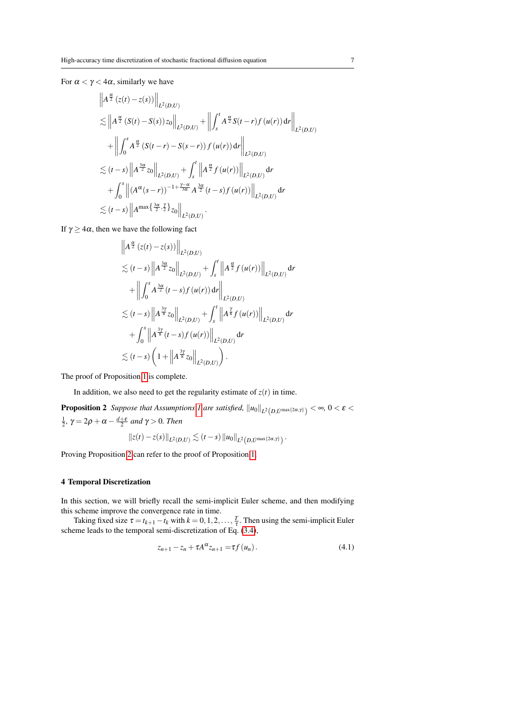For  $\alpha < \gamma < 4\alpha$ , similarly we have

$$
\|A^{\frac{\alpha}{2}}(z(t)-z(s))\|_{L^{2}(D,U)}
$$
\n
$$
\lesssim \|A^{\frac{\alpha}{2}}(S(t)-S(s))z_{0}\|_{L^{2}(D,U)} + \left\| \int_{s}^{t} A^{\frac{\alpha}{2}}S(t-r)f(u(r)) dr \right\|_{L^{2}(D,U)}
$$
\n
$$
+ \left\| \int_{0}^{s} A^{\frac{\alpha}{2}}(S(t-r)-S(s-r)) f(u(r)) dr \right\|_{L^{2}(D,U)}
$$
\n
$$
\lesssim (t-s) \|A^{\frac{3\alpha}{2}}z_{0}\|_{L^{2}(D,U)} + \int_{s}^{t} \|A^{\frac{\alpha}{2}}f(u(r))\|_{L^{2}(D,U)} dr
$$
\n
$$
+ \int_{0}^{s} \| (A^{\alpha}(s-r))^{-1+\frac{\gamma-\alpha}{3\alpha}} A^{\frac{3\alpha}{2}}(t-s) f(u(r))\|_{L^{2}(D,U)} dr
$$
\n
$$
\lesssim (t-s) \|A^{\max{\frac{3\alpha}{2},\frac{\gamma}{2}}}\Big|_{z_{0}}\Big\|_{L^{2}(D,U)}.
$$

If  $\gamma \geq 4\alpha$ , then we have the following fact

$$
\|A^{\frac{\alpha}{2}}(z(t)-z(s))\|_{L^{2}(D,U)}
$$
\n
$$
\lesssim (t-s)\|A^{\frac{3\alpha}{2}}z_{0}\|_{L^{2}(D,U)} + \int_{s}^{t}\|A^{\frac{\alpha}{2}}f(u(r))\|_{L^{2}(D,U)} dr
$$
\n
$$
+\| \int_{0}^{s} A^{\frac{3\alpha}{2}}(t-s)f(u(r)) dr \|_{L^{2}(D,U)}
$$
\n
$$
\lesssim (t-s)\|A^{\frac{3\gamma}{8}}z_{0}\|_{L^{2}(D,U)} + \int_{s}^{t}\|A^{\frac{\gamma}{8}}f(u(r))\|_{L^{2}(D,U)} dr
$$
\n
$$
+\int_{0}^{s}\|A^{\frac{3\gamma}{8}}(t-s)f(u(r))\|_{L^{2}(D,U)} dr
$$
\n
$$
\lesssim (t-s)\left(1+\|A^{\frac{3\gamma}{8}}z_{0}\|_{L^{2}(D,U)}\right).
$$

The proof of Proposition [1](#page-5-3) is complete.

In addition, we also need to get the regularity estimate of  $z(t)$  in time.

<span id="page-6-1"></span>**Proposition 2** *Suppose that Assumptions [1](#page-2-1) are satisfied,*  $\|u_0\|_{L^2(D, U^{\max\{2\alpha, \gamma\}})} < \infty$ ,  $0 < \varepsilon <$  $\frac{1}{2}$ ,  $\gamma = 2\rho + \alpha - \frac{d+\varepsilon}{2}$  and  $\gamma > 0$ . Then

$$
||z(t)-z(s)||_{L^2(D,U)} \lesssim (t-s) ||u_0||_{L^2(D,U^{\max{2\alpha,\gamma}})}.
$$

Proving Proposition [2](#page-6-1) can refer to the proof of Proposition [1.](#page-5-3)

### <span id="page-6-0"></span>4 Temporal Discretization

In this section, we will briefly recall the semi-implicit Euler scheme, and then modifying this scheme improve the convergence rate in time.

<span id="page-6-2"></span>Taking fixed size  $\tau = t_{k+1} - t_k$  with  $k = 0, 1, 2, ..., \frac{T}{\tau}$ . Then using the semi-implicit Euler scheme leads to the temporal semi-discretization of Eq. [\(3.4\)](#page-5-0),

$$
z_{n+1} - z_n + \tau A^{\alpha} z_{n+1} = \tau f(u_n). \qquad (4.1)
$$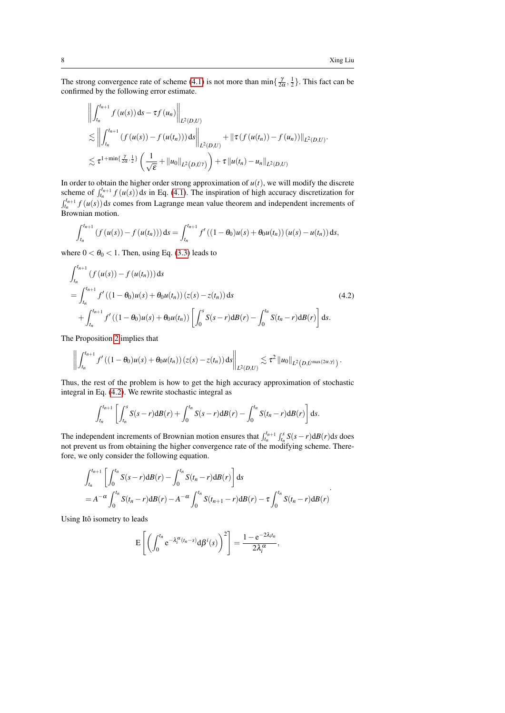The strong convergence rate of scheme [\(4.1\)](#page-6-2) is not more than  $\min\{\frac{\gamma}{2\alpha},\frac{1}{2}\}\.$  This fact can be confirmed by the following error estimate.

$$
\left\| \int_{t_n}^{t_{n+1}} f(u(s)) ds - \tau f(u_n) \right\|_{L^2(D,U)}
$$
\n
$$
\lesssim \left\| \int_{t_n}^{t_{n+1}} (f(u(s)) - f(u(t_n))) ds \right\|_{L^2(D,U)} + \left\| \tau (f(u(t_n)) - f(u_n)) \right\|_{L^2(D,U)}.
$$
\n
$$
\lesssim \tau^{1 + \min\{\frac{\gamma}{2\alpha},\frac{1}{2}\}} \left( \frac{1}{\sqrt{\varepsilon}} + \left\| u_0 \right\|_{L^2(D,U)} \right) + \tau \left\| u(t_n) - u_n \right\|_{L^2(D,U)}.
$$

In order to obtain the higher order strong approximation of  $u(t)$ , we will modify the discrete scheme of  $\int_{t_n}^{t_{n+1}} f(u(s)) ds$  in Eq. [\(4.1\)](#page-6-2). The inspiration of high accuracy discretization for  $f_{t_n}^{t_{n+1}} f(u(s))$  ds comes from Lagrange mean value theorem and independent increments of Brownian motion.

$$
\int_{t_n}^{t_{n+1}} (f(u(s)) - f(u(t_n))) ds = \int_{t_n}^{t_{n+1}} f'((1 - \theta_0)u(s) + \theta_0 u(t_n)) (u(s) - u(t_n)) ds,
$$

where  $0 < \theta_0 < 1$ . Then, using Eq. [\(3.3\)](#page-5-1) leads to

<span id="page-7-0"></span>
$$
\int_{t_n}^{t_{n+1}} (f(u(s)) - f(u(t_n))) ds
$$
\n
$$
= \int_{t_n}^{t_{n+1}} f'((1 - \theta_0)u(s) + \theta_0 u(t_n)) (z(s) - z(t_n)) ds
$$
\n
$$
+ \int_{t_n}^{t_{n+1}} f'((1 - \theta_0)u(s) + \theta_0 u(t_n)) \left[ \int_0^s S(s - r) dB(r) - \int_0^{t_n} S(t_n - r) dB(r) \right] ds.
$$
\n(4.2)

The Proposition [2](#page-6-1) implies that

$$
\left\| \int_{t_n}^{t_{n+1}} f'((1-\theta_0)u(s)+\theta_0u(t_n)) (z(s)-z(t_n)) ds \right\|_{L^2(D,U)} \lesssim \tau^2 \|u_0\|_{L^2(D,U^{\max\{2\alpha,\gamma\}})}.
$$

Thus, the rest of the problem is how to get the high accuracy approximation of stochastic integral in Eq. [\(4.2\)](#page-7-0). We rewrite stochastic integral as

$$
\int_{t_n}^{t_{n+1}} \left[ \int_{t_n}^s S(s-r) d\mathcal{B}(r) + \int_0^{t_n} S(s-r) d\mathcal{B}(r) - \int_0^{t_n} S(t_n-r) d\mathcal{B}(r) \right] ds.
$$

The independent increments of Brownian motion ensures that  $\int_{t_n}^{t_{n+1}} \int_{t_n}^{s} S(s-r) dP(r) ds$  does not prevent us from obtaining the higher convergence rate of the modifying scheme. Therefore, we only consider the following equation.

$$
\int_{t_n}^{t_{n+1}} \left[ \int_0^{t_n} S(s-r) d\mathcal{B}(r) - \int_0^{t_n} S(t_n-r) d\mathcal{B}(r) \right] ds
$$
  
=  $A^{-\alpha} \int_0^{t_n} S(t_n-r) d\mathcal{B}(r) - A^{-\alpha} \int_0^{t_n} S(t_{n+1}-r) d\mathcal{B}(r) - \tau \int_0^{t_n} S(t_n-r) d\mathcal{B}(r)$ 

Using Itô isometry to leads

$$
E\left[\left(\int_0^{t_n} e^{-\lambda_i^{\alpha}(t_n-s)} d\beta^i(s)\right)^2\right] = \frac{1-e^{-2\lambda_i t_n}}{2\lambda_i^{\alpha}},
$$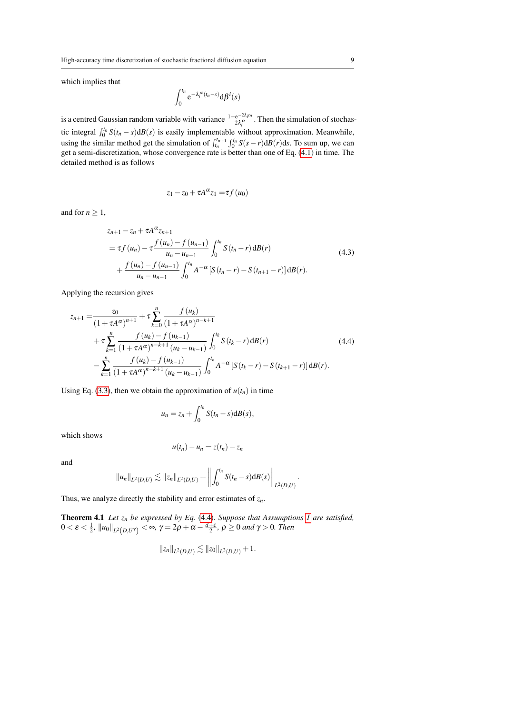which implies that

$$
\int_0^{t_n} e^{-\lambda_i^{\alpha}(t_n-s)} d\beta^i(s)
$$

is a centred Gaussian random variable with variance  $\frac{1-e^{-2\lambda_i t_n}}{2\lambda_i a}$  $rac{e^{-2\lambda t}m}{2\lambda_i^{\alpha}}$ . Then the simulation of stochastic integral  $\int_0^{t_n} S(t_n - s) dB(s)$  is easily implementable without approximation. Meanwhile, using the similar method get the simulation of  $\int_{t_n}^{t_{n+1}} \int_0^{t_n} S(s-r) dB(r) ds$ . To sum up, we can get a semi-discretization, whose convergence rate is better than one of Eq. [\(4.1\)](#page-6-2) in time. The detailed method is as follows

$$
z_1 - z_0 + \tau A^{\alpha} z_1 = \tau f(u_0)
$$

<span id="page-8-1"></span>and for  $n \geq 1$ ,

$$
z_{n+1} - z_n + \tau A^{\alpha} z_{n+1}
$$
  
=  $\tau f(u_n) - \tau \frac{f(u_n) - f(u_{n-1})}{u_n - u_{n-1}} \int_0^{t_n} S(t_n - r) dB(r)$   
+  $\frac{f(u_n) - f(u_{n-1})}{u_n - u_{n-1}} \int_0^{t_n} A^{-\alpha} [S(t_n - r) - S(t_{n+1} - r)] dB(r).$  (4.3)

Applying the recursion gives

<span id="page-8-0"></span>
$$
z_{n+1} = \frac{z_0}{(1 + \tau A^{\alpha})^{n+1}} + \tau \sum_{k=0}^{n} \frac{f(u_k)}{(1 + \tau A^{\alpha})^{n-k+1}} + \tau \sum_{k=1}^{n} \frac{f(u_k) - f(u_{k-1})}{(1 + \tau A^{\alpha})^{n-k+1} (u_k - u_{k-1})} \int_0^{t_k} S(t_k - r) dB(r) \qquad (4.4)
$$

$$
- \sum_{k=1}^{n} \frac{f(u_k) - f(u_{k-1})}{(1 + \tau A^{\alpha})^{n-k+1} (u_k - u_{k-1})} \int_0^{t_k} A^{-\alpha} \left[ S(t_k - r) - S(t_{k+1} - r) \right] dB(r).
$$

Using Eq. [\(3.3\)](#page-5-1), then we obtain the approximation of  $u(t_n)$  in time

$$
u_n = z_n + \int_0^{t_n} S(t_n - s) dB(s),
$$

which shows

$$
u(t_n)-u_n=z(t_n)-z_n
$$

and

$$
||u_n||_{L^2(D,U)} \lesssim ||z_n||_{L^2(D,U)} + \left||\int_0^{t_n} S(t_n - s) dB(s)\right||_{L^2(D,U)}.
$$

Thus, we analyze directly the stability and error estimates of *zn*.

Theorem 4.1 *Let z<sup>n</sup> be expressed by Eq.* [\(4.4\)](#page-8-0)*. Suppose that Assumptions [1](#page-2-1) are satisfied,*  $0<\varepsilon<\frac{1}{2}$ ,  $\|u_0\|_{L^2(D,\dot{U}^\gamma)}<\infty, \, \gamma=2\rho+\alpha-\frac{d+\varepsilon}{2}, \, \rho\geq 0$  and  $\gamma>0.$  Then

$$
||z_n||_{L^2(D,U)} \lesssim ||z_0||_{L^2(D,U)} + 1.
$$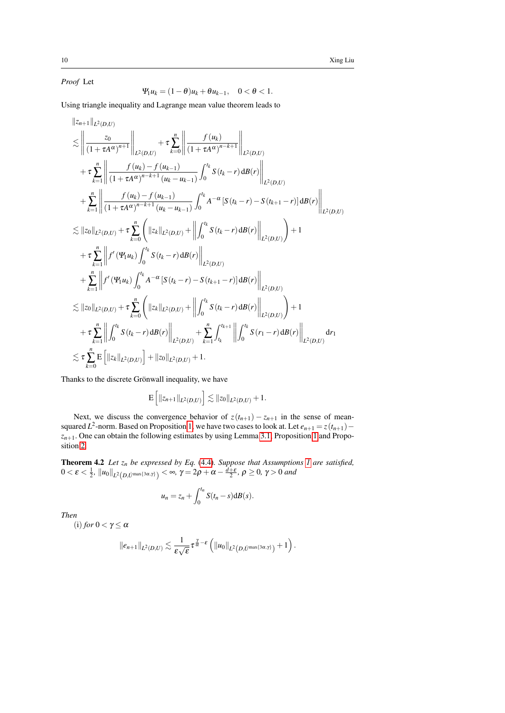*Proof* Let

$$
\Psi_1 u_k = (1 - \theta)u_k + \theta u_{k-1}, \quad 0 < \theta < 1.
$$

Using triangle inequality and Lagrange mean value theorem leads to

$$
\begin{split}\n&\|\bar{z}_{n+1}\|_{L^{2}(D,U)} \\
&\lesssim \left\|\frac{z_{0}}{(1+\tau A^{\alpha})^{n+1}}\right\|_{L^{2}(D,U)} + \tau \sum_{k=0}^{n} \left\|\frac{f(u_{k})}{(1+\tau A^{\alpha})^{n-k+1}}\right\|_{L^{2}(D,U)} \\
&+ \tau \sum_{k=1}^{n} \left\|\frac{f(u_{k})-f(u_{k-1})}{(1+\tau A^{\alpha})^{n-k+1}(u_{k}-u_{k-1})}\int_{0}^{t_{k}} S(t_{k}-r) dB(r)\right\|_{L^{2}(D,U)} \\
&+ \sum_{k=1}^{n} \left\|\frac{f(u_{k})-f(u_{k-1})}{(1+\tau A^{\alpha})^{n-k+1}(u_{k}-u_{k-1})}\int_{0}^{t_{k}} A^{-\alpha} [S(t_{k}-r)-S(t_{k+1}-r)] dB(r)\right\|_{L^{2}(D,U)} \\
&\lesssim \|\bar{z}_{0}\|_{L^{2}(D,U)} + \tau \sum_{k=0}^{n} \left(\|\bar{z}_{k}\|_{L^{2}(D,U)} + \left\|\int_{0}^{t_{k}} S(t_{k}-r) dB(r)\right\|_{L^{2}(D,U)}\right) + 1 \\
&+ \tau \sum_{k=1}^{n} \left\|f'(W_{1}u_{k})\int_{0}^{t_{k}} S(t_{k}-r) dB(r)\right\|_{L^{2}(D,U)} \\
&+ \sum_{k=1}^{n} \left\|f'(W_{1}u_{k})\int_{0}^{t_{k}} A^{-\alpha} [S(t_{k}-r)-S(t_{k+1}-r)] dB(r)\right\|_{L^{2}(D,U)} \\
&\lesssim \|\bar{z}_{0}\|_{L^{2}(D,U)} + \tau \sum_{k=0}^{n} \left(\|\bar{z}_{k}\|_{L^{2}(D,U)} + \left\|\int_{0}^{t_{k}} S(t_{k}-r) dB(r)\right\|_{L^{2}(D,U)}\right) + 1 \\
&+ \tau \sum_{k=1}^{n} \left\|\int_{0}^{t_{k}} S(t_{k}-r) dB(r)\right\|_{L^{2}(D,U)} + \sum_{k=1}^{n} \int_{t_{k}}^{t_{k+1}} \left\|\int_{0}^{t_{k}} S(r_{1}-r) dB(r)\right\|_{L^{2}(D,U)} dr_{1} \\
&\lesssim \tau
$$

Thanks to the discrete Grönwall inequality, we have

$$
\mathbf{E}\left[\|z_{n+1}\|_{L^2(D,U)}\right] \lesssim \|z_0\|_{L^2(D,U)} + 1.
$$

Next, we discuss the convergence behavior of  $z(t_{n+1}) - z_{n+1}$  in the sense of meansquared *L*<sup>2</sup>-norm. Based on Proposition [1,](#page-5-3) we have two cases to look at. Let  $e_{n+1} = z(t_{n+1}) - z(t_{n+1})$  $z_{n+1}$ . One can obtain the following estimates by using Lemma [3.1,](#page-4-0) Proposition [1](#page-5-3) and Proposition [2.](#page-6-1)

<span id="page-9-0"></span>Theorem 4.2 *Let z<sup>n</sup> be expressed by Eq.* [\(4.4\)](#page-8-0)*. Suppose that Assumptions [1](#page-2-1) are satisfied,*  $0<\pmb{\varepsilon}<\frac{1}{2}$ ,  $\left\|u_0\right\|_{L^2\left(D,l\right)^{\max\{3\alpha,\gamma\}}}<\infty,$   $\gamma=2\rho+\alpha-\frac{\overline{d+\varepsilon}}{2},$   $\rho\geq0,$   $\gamma>0$  and

$$
u_n = z_n + \int_0^{t_n} S(t_n - s) dB(s).
$$

*Then*

(i) *for*  $0 < \gamma \leq \alpha$ 

$$
\|e_{n+1}\|_{L^2(D,U)} \lesssim \frac{1}{\varepsilon\sqrt{\varepsilon}}\tau^{\frac{\gamma}{\alpha}-\varepsilon}\left(\|u_0\|_{L^2(D,U^{\max\{3\alpha,\gamma\}})}+1\right).
$$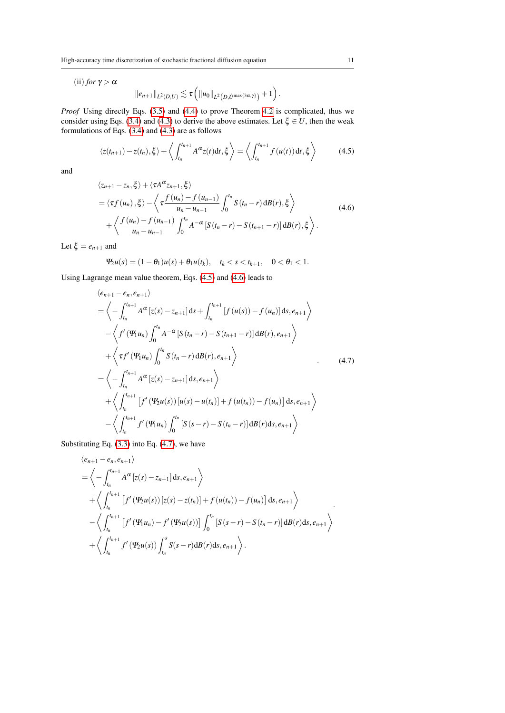(ii) *for*  $\gamma > \alpha$ 

$$
\|e_{n+1}\|_{L^2(D,U)} \lesssim \tau \left( \|u_0\|_{L^2(D, U^{\max\{3\alpha,\gamma\}})} + 1 \right).
$$

*Proof* Using directly Eqs. [\(3.5\)](#page-5-2) and [\(4.4\)](#page-8-0) to prove Theorem [4.2](#page-9-0) is complicated, thus we consider using Eqs. [\(3.4\)](#page-5-0) and [\(4.3\)](#page-8-1) to derive the above estimates. Let  $\xi \in U$ , then the weak formulations of Eqs. [\(3.4\)](#page-5-0) and [\(4.3\)](#page-8-1) are as follows

<span id="page-10-0"></span>
$$
\langle z(t_{n+1}) - z(t_n), \xi \rangle + \left\langle \int_{t_n}^{t_{n+1}} A^{\alpha} z(t) dt, \xi \right\rangle = \left\langle \int_{t_n}^{t_{n+1}} f(u(t)) dt, \xi \right\rangle \tag{4.5}
$$

<span id="page-10-1"></span>and

$$
\langle z_{n+1} - z_n, \xi \rangle + \langle \tau A^{\alpha} z_{n+1}, \xi \rangle
$$
  
=\langle \tau f(u\_n), \xi \rangle - \langle \tau \frac{f(u\_n) - f(u\_{n-1})}{u\_n - u\_{n-1}} \int\_0^{t\_n} S(t\_n - r) dB(r), \xi \rangle  
+ \langle \frac{f(u\_n) - f(u\_{n-1})}{u\_n - u\_{n-1}} \int\_0^{t\_n} A^{-\alpha} [S(t\_n - r) - S(t\_{n+1} - r)] dB(r), \xi \rangle. (4.6)

Let  $\xi = e_{n+1}$  and

$$
\Psi_2 u(s) = (1 - \theta_1)u(s) + \theta_1 u(t_k), \quad t_k < s < t_{k+1}, \quad 0 < \theta_1 < 1.
$$

Using Lagrange mean value theorem, Eqs. [\(4.5\)](#page-10-0) and [\(4.6\)](#page-10-1) leads to

<span id="page-10-2"></span>
$$
\langle e_{n+1} - e_n, e_{n+1} \rangle
$$
  
\n
$$
= \left\langle - \int_{t_n}^{t_{n+1}} A^{\alpha} \left[ z(s) - z_{n+1} \right] ds + \int_{t_n}^{t_{n+1}} \left[ f(u(s)) - f(u_n) \right] ds, e_{n+1} \right\rangle
$$
  
\n
$$
- \left\langle f'(\Psi_1 u_n) \int_0^{t_n} A^{-\alpha} \left[ S(t_n - r) - S(t_{n+1} - r) \right] dB(r), e_{n+1} \right\rangle
$$
  
\n
$$
+ \left\langle \tau f'(\Psi_1 u_n) \int_0^{t_n} S(t_n - r) dB(r), e_{n+1} \right\rangle
$$
  
\n
$$
= \left\langle - \int_{t_n}^{t_{n+1}} A^{\alpha} \left[ z(s) - z_{n+1} \right] ds, e_{n+1} \right\rangle
$$
  
\n
$$
+ \left\langle \int_{t_n}^{t_{n+1}} \left[ f'(\Psi_2 u(s)) \left[ u(s) - u(t_n) \right] + f(u(t_n)) - f(u_n) \right] ds, e_{n+1} \right\rangle
$$
  
\n
$$
- \left\langle \int_{t_n}^{t_{n+1}} f'(\Psi_1 u_n) \int_0^{t_n} \left[ S(s - r) - S(t_n - r) \right] dB(r) ds, e_{n+1} \right\rangle
$$

Substituting Eq. [\(3.3\)](#page-5-1) into Eq. [\(4.7\)](#page-10-2), we have

$$
\langle e_{n+1} - e_n, e_{n+1} \rangle
$$
  
=  $\langle - \int_{t_n}^{t_{n+1}} A^{\alpha} [z(s) - z_{n+1}] ds, e_{n+1} \rangle$   
+  $\langle \int_{t_n}^{t_{n+1}} [f'(\Psi_2 u(s)) [z(s) - z(t_n)] + f(u(t_n)) - f(u_n)] ds, e_{n+1} \rangle$   
-  $\langle \int_{t_n}^{t_{n+1}} [f'(\Psi_1 u_n) - f'(\Psi_2 u(s))] \int_0^{t_n} [S(s-r) - S(t_n - r)] dB(r) ds, e_{n+1} \rangle$   
+  $\langle \int_{t_n}^{t_{n+1}} f'(\Psi_2 u(s)) \int_{t_n}^s S(s-r) dB(r) ds, e_{n+1} \rangle$ .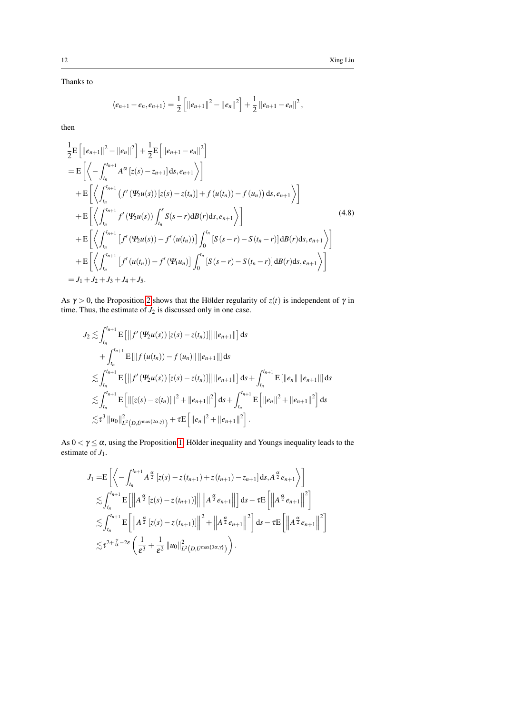Thanks to

$$
\langle e_{n+1}-e_n, e_{n+1}\rangle = \frac{1}{2}\left[\|e_{n+1}\|^2 - \|e_n\|^2\right] + \frac{1}{2}\|e_{n+1}-e_n\|^2,
$$

then

$$
\frac{1}{2}E\left[\|e_{n+1}\|^2 - \|e_n\|^2\right] + \frac{1}{2}E\left[\|e_{n+1} - e_n\|^2\right] \n= E\left[\left\langle -\int_{t_n}^{t_{n+1}} A^{\alpha} \left[z(s) - z_{n+1}\right] ds, e_{n+1}\right\rangle\right] \n+ E\left[\left\langle \int_{t_n}^{t_{n+1}} \left(f' \left(\Psi_2 u(s)\right) \left[z(s) - z(t_n)\right] + f \left(u(t_n)\right) - f \left(u_n\right)\right) ds, e_{n+1}\right\rangle\right] \n+ E\left[\left\langle \int_{t_n}^{t_{n+1}} f' \left(\Psi_2 u(s)\right) \int_{t_n}^s S(s - r) d\mathcal{B}(r) ds, e_{n+1}\right\rangle\right] \n+ E\left[\left\langle \int_{t_n}^{t_{n+1}} \left[f' \left(\Psi_2 u(s)\right) - f' \left(u(t_n)\right)\right] \int_0^{t_n} \left[S(s - r) - S(t_n - r)\right] d\mathcal{B}(r) ds, e_{n+1}\right\rangle\right] \n+ E\left[\left\langle \int_{t_n}^{t_{n+1}} \left[f' \left(u(t_n)\right) - f' \left(\Psi_1 u_n\right)\right] \int_0^{t_n} \left[S(s - r) - S(t_n - r)\right] d\mathcal{B}(r) ds, e_{n+1}\right\rangle\right] \n= J_1 + J_2 + J_3 + J_4 + J_5.
$$
\n(4.8)

As  $\gamma > 0$ , the Proposition [2](#page-6-1) shows that the Hölder regularity of  $z(t)$  is independent of  $\gamma$  in time. Thus, the estimate of  $J_2$  is discussed only in one case.

$$
J_2 \lesssim \int_{t_n}^{t_{n+1}} \mathbf{E} \left[ \left\| f' \left( \mathbf{\Psi}_2 u(s) \right) [z(s) - z(t_n)] \right\| \left\| e_{n+1} \right\| \right] ds
$$
  
+ 
$$
\int_{t_n}^{t_{n+1}} \mathbf{E} \left[ \left\| f \left( u(t_n) \right) - f \left( u_n \right) \right\| \left\| e_{n+1} \right\| \right] ds
$$
  

$$
\lesssim \int_{t_n}^{t_{n+1}} \mathbf{E} \left[ \left\| f' \left( \mathbf{\Psi}_2 u(s) \right) [z(s) - z(t_n)] \right\| \left\| e_{n+1} \right\| \right] ds + \int_{t_n}^{t_{n+1}} \mathbf{E} \left[ \left\| e_n \right\| \left\| e_{n+1} \right\| \right] ds
$$
  

$$
\lesssim \int_{t_n}^{t_{n+1}} \mathbf{E} \left[ \left\| [z(s) - z(t_n)] \right\|^2 + \left\| e_{n+1} \right\|^2 \right] ds + \int_{t_n}^{t_{n+1}} \mathbf{E} \left[ \left\| e_n \right\|^2 + \left\| e_{n+1} \right\|^2 \right] ds
$$
  

$$
\lesssim \tau^3 \left\| u_0 \right\|_{L^2(D, U^{\max\{2\alpha, \gamma\}})}^2 + \tau \mathbf{E} \left[ \left\| e_n \right\|^2 + \left\| e_{n+1} \right\|^2 \right].
$$

As  $0 < \gamma \le \alpha$ , using the Proposition [1,](#page-5-3) Hölder inequality and Youngs inequality leads to the estimate of  $J_1$ .

$$
J_{1} = E\left[\left\langle -\int_{t_{n}}^{t_{n+1}} A^{\frac{\alpha}{2}} \left[z(s) - z(t_{n+1}) + z(t_{n+1}) - z_{n+1}\right] ds, A^{\frac{\alpha}{2}} e_{n+1}\right\rangle\right] \n\lesssim \int_{t_{n}}^{t_{n+1}} E\left[\left\| A^{\frac{\alpha}{2}} \left[z(s) - z(t_{n+1})\right]\right\| \left\| A^{\frac{\alpha}{2}} e_{n+1}\right\| \right] ds - \tau E\left[\left\| A^{\frac{\alpha}{2}} e_{n+1}\right\|^{2}\right] \n\lesssim \int_{t_{n}}^{t_{n+1}} E\left[\left\| A^{\frac{\alpha}{2}} \left[z(s) - z(t_{n+1})\right]\right\|^{2} + \left\| A^{\frac{\alpha}{2}} e_{n+1}\right\|^{2}\right] ds - \tau E\left[\left\| A^{\frac{\alpha}{2}} e_{n+1}\right\|^{2}\right] \n\lesssim \tau^{2+\frac{\gamma}{\alpha}-2\epsilon} \left(\frac{1}{\epsilon^{3}} + \frac{1}{\epsilon^{2}} \|\mathbf{u}_{0}\|_{L^{2}(D, \dot{U}^{\max\{3\alpha, \gamma\}})}^{2}\right).
$$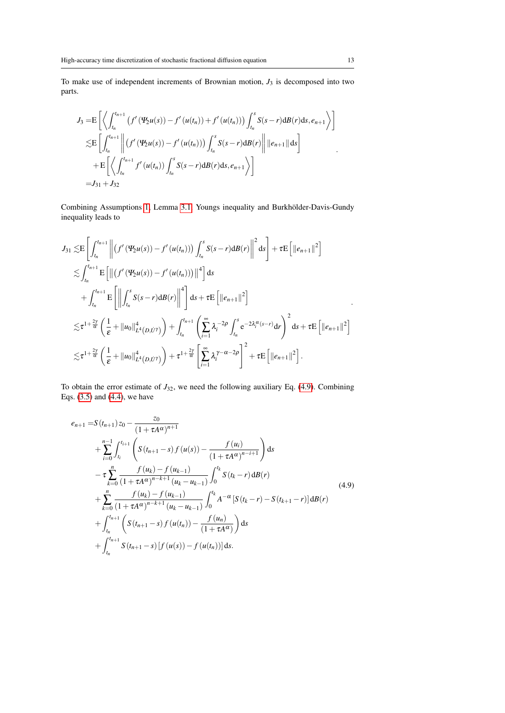To make use of independent increments of Brownian motion, *J*<sup>3</sup> is decomposed into two parts.

$$
J_{3} = E \left[ \left\langle \int_{t_{n}}^{t_{n+1}} (f'( \Psi_{2} u(s)) - f'( u(t_{n})) + f'( u(t_{n}))) \int_{t_{n}}^{s} S(s-r) d B(r) ds, e_{n+1} \right\rangle \right]
$$
  
\n
$$
\lesssim E \left[ \int_{t_{n}}^{t_{n+1}} \left\| (f'( \Psi_{2} u(s)) - f'( u(t_{n}))) \int_{t_{n}}^{s} S(s-r) d B(r) \right\| ||e_{n+1}|| ds \right]
$$
  
\n
$$
+ E \left[ \left\langle \int_{t_{n}}^{t_{n+1}} f'( u(t_{n})) \int_{t_{n}}^{s} S(s-r) d B(r) ds, e_{n+1} \right\rangle \right]
$$
  
\n
$$
= J_{31} + J_{32}
$$

Combining Assumptions [1,](#page-2-1) Lemma [3.1,](#page-4-0) Youngs inequality and Burkhölder-Davis-Gundy inequality leads to

$$
J_{31} \lesssim E\left[\int_{t_n}^{t_{n+1}} \left\| \left(f'(\Psi_2 u(s)) - f'(u(t_n))\right) \int_{t_n}^s S(s-r) d\mathcal{B}(r) \right\|^2 ds \right] + \tau E\left[\|e_{n+1}\|^2\right]
$$
  
\n
$$
\lesssim \int_{t_n}^{t_{n+1}} E\left[\left\| \left(f'(\Psi_2 u(s)) - f'(u(t_n))\right) \right\|^4 \right] ds
$$
  
\n
$$
+ \int_{t_n}^{t_{n+1}} E\left[\left\| \int_{t_n}^s S(s-r) d\mathcal{B}(r) \right\|^4 \right] ds + \tau E\left[\|e_{n+1}\|^2\right]
$$
  
\n
$$
\lesssim \tau^{1+\frac{2\gamma}{\alpha}} \left(\frac{1}{\epsilon} + \|u_0\|_{L^4(D, \dot{U}^{\gamma})}^4\right) + \int_{t_n}^{t_{n+1}} \left(\sum_{i=1}^{\infty} \lambda_i^{-2\rho} \int_{t_n}^s e^{-2\lambda_i^{\alpha}(s-r)} dr\right)^2 ds + \tau E\left[\|e_{n+1}\|^2\right]
$$
  
\n
$$
\lesssim \tau^{1+\frac{2\gamma}{\alpha}} \left(\frac{1}{\epsilon} + \|u_0\|_{L^4(D, \dot{U}^{\gamma})}^4\right) + \tau^{1+\frac{2\gamma}{\alpha}} \left[\sum_{i=1}^{\infty} \lambda_i^{\gamma-\alpha-2\rho}\right]^2 + \tau E\left[\|e_{n+1}\|^2\right].
$$

To obtain the error estimate of  $J_{32}$ , we need the following auxiliary Eq. [\(4.9\)](#page-12-0). Combining Eqs. [\(3.5\)](#page-5-2) and [\(4.4\)](#page-8-0), we have

<span id="page-12-0"></span>
$$
e_{n+1} = S(t_{n+1}) z_0 - \frac{z_0}{(1 + \tau A^{\alpha})^{n+1}} + \sum_{i=0}^{n-1} \int_{t_i}^{t_{i+1}} \left( S(t_{n+1} - s) f(u(s)) - \frac{f(u_i)}{(1 + \tau A^{\alpha})^{n-i+1}} \right) ds - \tau \sum_{k=0}^{n} \frac{f(u_k) - f(u_{k-1})}{(1 + \tau A^{\alpha})^{n-k+1} (u_k - u_{k-1})} \int_{0}^{t_k} S(t_k - r) dB(r) + \sum_{k=0}^{n} \frac{f(u_k) - f(u_{k-1})}{(1 + \tau A^{\alpha})^{n-k+1} (u_k - u_{k-1})} \int_{0}^{t_k} A^{-\alpha} [S(t_k - r) - S(t_{k+1} - r)] dB(r) + \int_{t_n}^{t_{n+1}} \left( S(t_{n+1} - s) f(u(t_n)) - \frac{f(u_n)}{(1 + \tau A^{\alpha})} \right) ds + \int_{t_n}^{t_{n+1}} S(t_{n+1} - s) [f(u(s)) - f(u(t_n))] ds.
$$
\n(4.9)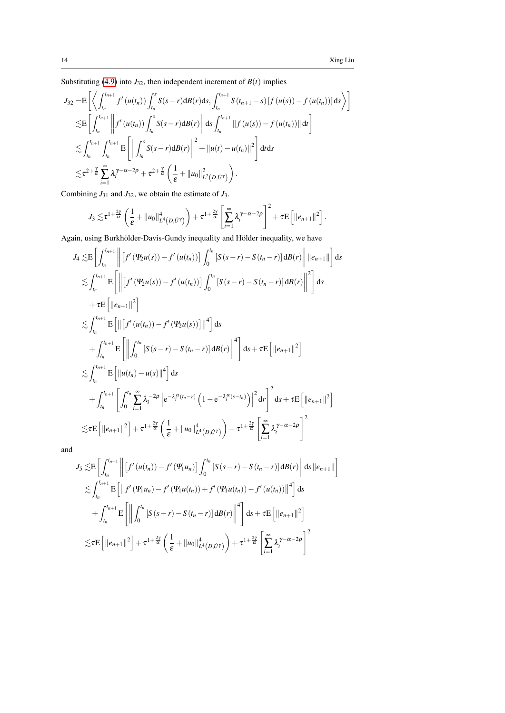Substituting [\(4.9\)](#page-12-0) into  $J_{32}$ , then independent increment of  $B(t)$  implies

$$
J_{32} = E\left[\left\langle \int_{t_n}^{t_{n+1}} f'(u(t_n)) \int_{t_n}^s S(s-r) dB(r) ds, \int_{t_n}^{t_{n+1}} S(t_{n+1}-s) \left[ f(u(s)) - f(u(t_n)) \right] ds \right\rangle\right]
$$
  
\n
$$
\lesssim E\left[\int_{t_n}^{t_{n+1}} \left\| f'(u(t_n)) \int_{t_n}^s S(s-r) dB(r) \right\| ds \int_{t_n}^{t_{n+1}} \left\| f(u(s)) - f(u(t_n)) \right\| dt \right]
$$
  
\n
$$
\lesssim \int_{t_n}^{t_{n+1}} \int_{t_n}^{t_{n+1}} E\left[\left\| \int_{t_n}^s S(s-r) dB(r) \right\|^2 + \left\| u(t) - u(t_n) \right\|^2 \right] dt ds
$$
  
\n
$$
\lesssim \tau^{2+\frac{\gamma}{\alpha}} \sum_{i=1}^{\infty} \lambda_i^{\gamma-\alpha-2\rho} + \tau^{2+\frac{\gamma}{\alpha}} \left(\frac{1}{\epsilon} + \left\| u_0 \right\|_{L^2(D, U^{\gamma}}^2) \right).
$$

Combining  $J_{31}$  and  $J_{32}$ , we obtain the estimate of  $J_3$ .

$$
J_3 \lesssim \tau^{1+\frac{2\gamma}{\alpha}} \left( \frac{1}{\varepsilon} + ||u_0||_{L^4(D, \dot{U}^{\gamma})}^4 \right) + \tau^{1+\frac{2\gamma}{\alpha}} \left[ \sum_{i=1}^{\infty} \lambda_i^{\gamma - \alpha - 2\rho} \right]^2 + \tau E \left[ ||e_{n+1}||^2 \right].
$$

Again, using Burkhölder-Davis-Gundy inequality and Hölder inequality, we have

$$
J_{4} \lesssim E\left[\int_{t_{n}}^{t_{n+1}} \left\| \left[ f'(\Psi_{2}u(s)) - f'(u(t_{n})) \right] \int_{0}^{t_{n}} \left[ S(s-r) - S(t_{n}-r) \right] dB(r) \right\| \left\| e_{n+1} \right\| \right] ds
$$
  
\n
$$
\lesssim \int_{t_{n}}^{t_{n+1}} E\left[\left\| \left[ f'(\Psi_{2}u(s)) - f'(u(t_{n})) \right] \int_{0}^{t_{n}} \left[ S(s-r) - S(t_{n}-r) \right] dB(r) \right\|^{2} \right] ds
$$
  
\n
$$
+ \tau E\left[ \left\| e_{n+1} \right\|^{2} \right]
$$
  
\n
$$
\lesssim \int_{t_{n}}^{t_{n+1}} E\left[\left\| \left[ f'(u(t_{n})) - f'(\Psi_{2}u(s)) \right] \right\|^{4} \right] ds
$$
  
\n
$$
+ \int_{t_{n}}^{t_{n+1}} E\left[\left\| \left[ f'(u(t_{n})) - f'(\Psi_{2}u(s)) \right] \right\|^{4} \right] ds + \tau E\left[ \left\| e_{n+1} \right\|^{2} \right]
$$
  
\n
$$
\lesssim \int_{t_{n}}^{t_{n+1}} E\left[\left\| u(t_{n}) - u(s) \right\|^{4} \right] ds
$$
  
\n
$$
+ \int_{t_{n}}^{t_{n+1}} \left[ \int_{0}^{t_{n}} \sum_{i=1}^{\infty} \lambda_{i}^{-2\rho} \left| e^{-\lambda_{i}^{\alpha}(t_{n}-r)} \left( 1 - e^{-\lambda_{i}^{\alpha}(s-t_{n})} \right) \right|^{2} dr \right]^{2} ds + \tau E\left[ \left\| e_{n+1} \right\|^{2} \right]
$$
  
\n
$$
\lesssim \tau E\left[ \left\| e_{n+1} \right\|^{2} \right] + \tau^{1+\frac{2\gamma}{\alpha}} \left( \frac{1}{\varepsilon} + \left\| u_{0} \right\|_{L^{4}(D, \dot{U}^{r})}^{4} \right) + \tau^{1+\frac{2\gamma}{\alpha}} \left[ \sum_{i=1}^{\infty} \lambda_{i}^{\
$$

and

$$
J_{5} \lesssim E\left[\int_{t_{n}}^{t_{n+1}} \left\| \left[ f'(u(t_{n})) - f'(u(u_{n})) \right] \int_{0}^{t_{n}} \left[ S(s-r) - S(t_{n}-r) \right] dB(r) \right\| ds \, \|e_{n+1}\| \right]
$$
  
\n
$$
\lesssim \int_{t_{n}}^{t_{n+1}} E\left[\left\| f'(u(u_{n}) - f'(u(u_{n})) + f'(u(u_{n})) - f'(u(u_{n})) \right\|^{4}\right] ds
$$
  
\n
$$
+ \int_{t_{n}}^{t_{n+1}} E\left[\left\| \int_{0}^{t_{n}} \left[ S(s-r) - S(t_{n}-r) \right] dB(r) \right\|^{4}\right] ds + \tau E\left[\|e_{n+1}\|^{2}\right]
$$
  
\n
$$
\lesssim \tau E\left[\|e_{n+1}\|^{2}\right] + \tau^{1+\frac{2\gamma}{\alpha}}\left(\frac{1}{\varepsilon} + \|u_{0}\|_{L^{4}(D,U^{r})}^{4}\right) + \tau^{1+\frac{2\gamma}{\alpha}}\left[\sum_{i=1}^{\infty} \lambda_{i}^{\gamma-\alpha-2\rho}\right]^{2}
$$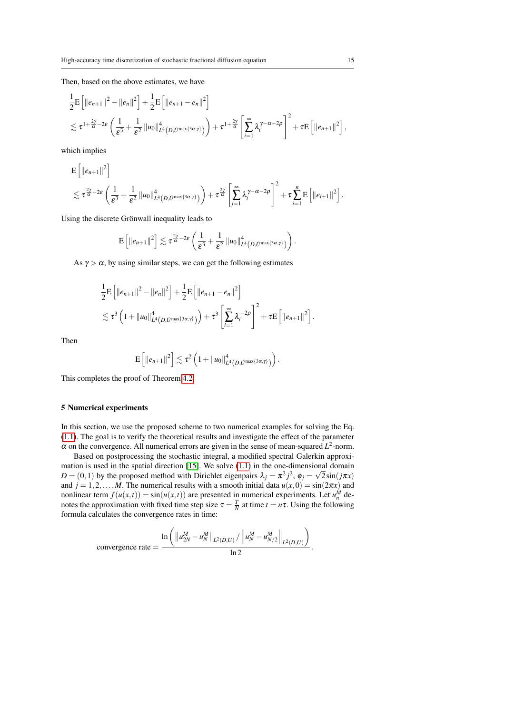Then, based on the above estimates, we have

$$
\frac{1}{2}E \left[ ||e_{n+1}||^2 - ||e_n||^2 \right] + \frac{1}{2}E \left[ ||e_{n+1} - e_n||^2 \right] \n\lesssim \tau^{1 + \frac{2\gamma}{\alpha} - 2\epsilon} \left( \frac{1}{\epsilon^3} + \frac{1}{\epsilon^2} ||u_0||_{L^4(D, U^{\max\{3\alpha, \gamma\}})}^4 \right) + \tau^{1 + \frac{2\gamma}{\alpha}} \left[ \sum_{i=1}^{\infty} \lambda_i^{\gamma - \alpha - 2\rho} \right]^2 + \tau E \left[ ||e_{n+1}||^2 \right],
$$

which implies

$$
\begin{split} & \mathsf{E}\left[\Vert e_{n+1}\Vert^2\right] \\ &\lesssim \tau^{\frac{2\gamma}{\alpha}-2\epsilon}\left(\frac{1}{\epsilon^3}+\frac{1}{\epsilon^2}\left\Vert u_0\right\Vert^4_{L^4(D,U^{\max\{3\alpha,\gamma\}})}\right)+\tau^{\frac{2\gamma}{\alpha}}\left[\sum_{i=1}^\infty\lambda_i^{\gamma-\alpha-2\rho}\right]^2+\tau\sum_{i=1}^n\mathsf{E}\left[\Vert e_{i+1}\Vert^2\right].\end{split}
$$

Using the discrete Grönwall inequality leads to

$$
\mathrm{E}\left[\|e_{n+1}\|^2\right] \lesssim \tau^{\frac{2\gamma}{\alpha}-2\epsilon}\left(\frac{1}{\epsilon^3}+\frac{1}{\epsilon^2}\|u_0\|_{L^4\left(D,U^{\max\{3\alpha,\gamma\}}\right)}^4\right).
$$

As  $\gamma > \alpha$ , by using similar steps, we can get the following estimates

$$
\frac{1}{2} \mathbf{E} \left[ ||e_{n+1}||^2 - ||e_n||^2 \right] + \frac{1}{2} \mathbf{E} \left[ ||e_{n+1} - e_n||^2 \right] \n\lesssim \tau^3 \left( 1 + ||u_0||^4_{L^4(D, U^{\max\{3\alpha, \gamma\}})} \right) + \tau^3 \left[ \sum_{i=1}^{\infty} \lambda_i^{-2\rho} \right]^2 + \tau \mathbf{E} \left[ ||e_{n+1}||^2 \right].
$$

Then

$$
\mathbf{E}\left[\left\|e_{n+1}\right\|^2\right] \lesssim \tau^2 \left(1+\left\|u_0\right\|_{L^4(D, U^{\max\{3\alpha,\gamma\}})}^4\right).
$$

This completes the proof of Theorem [4.2.](#page-9-0)

## <span id="page-14-0"></span>5 Numerical experiments

In this section, we use the proposed scheme to two numerical examples for solving the Eq. [\(1.1\)](#page-0-0). The goal is to verify the theoretical results and investigate the effect of the parameter  $\alpha$  on the convergence. All numerical errors are given in the sense of mean-squared  $L^2$ -norm.

Based on postprocessing the stochastic integral, a modified spectral Galerkin approxi-mation is used in the spatial direction [\[15\]](#page-16-19). We solve  $(1.1)$  in the one-dimensional domain  $D = (0, 1)$  by the proposed method with Dirichlet eigenpairs  $\lambda_j = \pi^2 j^2$ ,  $\phi_j = \sqrt{2} \sin(j\pi x)$ and  $j = 1, 2, ..., M$ . The numerical results with a smooth initial data  $u(x, 0) = \sin(2\pi x)$  and nonlinear term  $f(u(x,t)) = \sin(u(x,t))$  are presented in numerical experiments. Let  $u_n^M$  denotes the approximation with fixed time step size  $\tau = \frac{T}{N}$  at time  $t = n\tau$ . Using the following formula calculates the convergence rates in time:

convergence rate = 
$$
\frac{\ln\left(\left\|u_{2N}^M - u_N^M\right\|_{L^2(D,U)}/\left\|u_N^M - u_{N/2}^M\right\|_{L^2(D,U)}\right)}{\ln 2}.
$$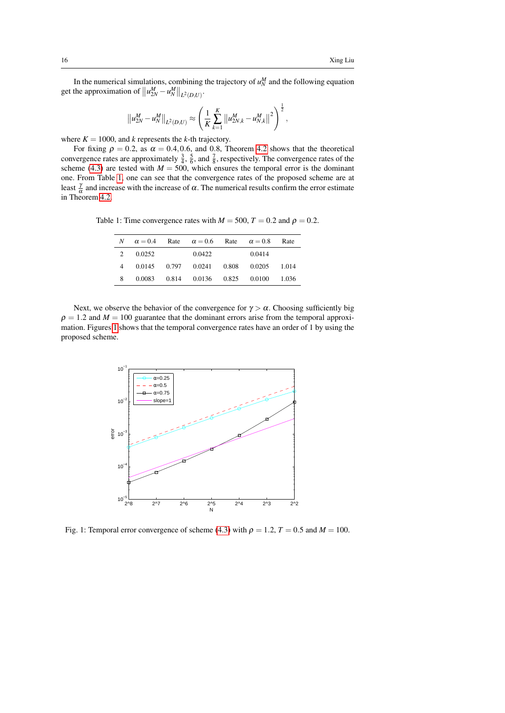In the numerical simulations, combining the trajectory of  $u_N^M$  and the following equation get the approximation of  $||u_{2N}^M - u_N^M||_{L^2(D,U)}$ .

$$
\left\|u_{2N}^M - u_N^M\right\|_{L^2(D,U)} \approx \left(\frac{1}{K}\sum_{k=1}^K \left\|u_{2N,k}^M - u_{N,k}^M\right\|^2\right)^{\frac{1}{2}},
$$

where  $K = 1000$ , and *k* represents the *k*-th trajectory.

For fixing  $\rho = 0.2$ , as  $\alpha = 0.4, 0.6$ , and 0.8, Theorem [4.2](#page-9-0) shows that the theoretical convergence rates are approximately  $\frac{3}{4}$ ,  $\frac{5}{6}$ , and  $\frac{7}{8}$ , respectively. The convergence rates of the scheme [\(4.3\)](#page-8-1) are tested with  $M = 500$ , which ensures the temporal error is the dominant one. From Table [1,](#page-15-0) one can see that the convergence rates of the proposed scheme are at least  $\frac{\gamma}{\alpha}$  and increase with the increase of α. The numerical results confirm the error estimate in Theorem [4.2.](#page-9-0)

<span id="page-15-0"></span>Table 1: Time convergence rates with  $M = 500$ ,  $T = 0.2$  and  $\rho = 0.2$ .

| N | $\alpha = 0.4$ | Rate $\alpha = 0.6$ Rate $\alpha = 0.8$ |        | Rate   |
|---|----------------|-----------------------------------------|--------|--------|
| 2 | 0.0252         | 0.0422                                  | 0.0414 |        |
| 4 |                | $0.0145$ $0.797$ $0.0241$ $0.808$       | 0.0205 | 1.014  |
| 8 | 0.0083         | 0.814 0.0136 0.825 0.0100               |        | -1.036 |

Next, we observe the behavior of the convergence for  $\gamma > \alpha$ . Choosing sufficiently big  $\rho = 1.2$  and  $M = 100$  guarantee that the dominant errors arise from the temporal approximation. Figures [1](#page-15-1) shows that the temporal convergence rates have an order of 1 by using the proposed scheme.

<span id="page-15-1"></span>

Fig. 1: Temporal error convergence of scheme [\(4.3\)](#page-8-1) with  $\rho = 1.2$ ,  $T = 0.5$  and  $M = 100$ .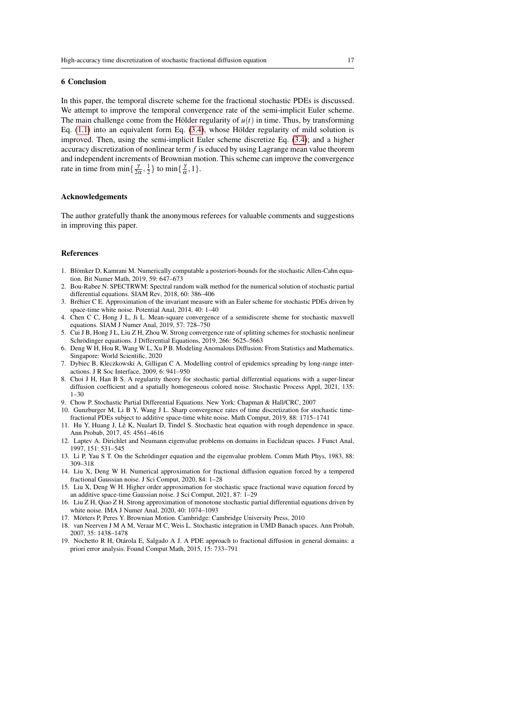#### <span id="page-16-14"></span>6 Conclusion

In this paper, the temporal discrete scheme for the fractional stochastic PDEs is discussed. We attempt to improve the temporal convergence rate of the semi-implicit Euler scheme. The main challenge come from the Hölder regularity of  $u(t)$  in time. Thus, by transforming Eq.  $(1.1)$  into an equivalent form Eq.  $(3.4)$ , whose Hölder regularity of mild solution is improved. Then, using the semi-implicit Euler scheme discretize Eq. [\(3.4\)](#page-5-0); and a higher accuracy discretization of nonlinear term *f* is educed by using Lagrange mean value theorem and independent increments of Brownian motion. This scheme can improve the convergence rate in time from  $\min\{\frac{\gamma}{2\alpha},\frac{1}{2}\}\$ to  $\min\{\frac{\gamma}{\alpha},1\}.$ 

#### Acknowledgements

The author gratefully thank the anonymous referees for valuable comments and suggestions in improving this paper.

### References

- <span id="page-16-7"></span>1. Blömker D, Kamrani M. Numerically computable a posteriori-bounds for the stochastic Allen-Cahn equation. Bit Numer Math, 2019, 59: 647–673
- <span id="page-16-8"></span>2. Bou-Rabee N. SPECTRWM: Spectral random walk method for the numerical solution of stochastic partial differential equations. SIAM Rev, 2018, 60: 386–406
- <span id="page-16-6"></span>3. Brehier C E. Approximation of the invariant measure with an Euler scheme for stochastic PDEs driven by ´ space-time white noise. Potential Anal, 2014, 40: 1–40
- <span id="page-16-10"></span>4. Chen C C, Hong J L, Ji L. Mean-square convergence of a semidiscrete sheme for stochastic maxwell equations. SIAM J Numer Anal, 2019, 57: 728–750
- <span id="page-16-11"></span>5. Cui J B, Hong J L, Liu Z H, Zhou W. Strong convergence rate of splitting schemes for stochastic nonlinear Schrödinger equations. J Differential Equations, 2019, 266: 5625-5663
- <span id="page-16-0"></span>6. Deng W H, Hou R, Wang W L, Xu P B. Modeling Anomalous Diffusion: From Statistics and Mathematics. Singapore: World Scientific, 2020
- <span id="page-16-1"></span>7. Dybiec B, Kleczkowski A, Gilligan C A. Modelling control of epidemics spreading by long-range interactions. J R Soc Interface, 2009, 6: 941–950
- <span id="page-16-4"></span>8. Choi J H, Han B S. A regularity theory for stochastic partial differential equations with a super-linear diffusion coefficient and a spatially homogeneous colored noise. Stochastic Process Appl, 2021, 135: 1–30
- <span id="page-16-2"></span>9. Chow P. Stochastic Partial Differential Equations. New York: Chapman & Hall/CRC, 2007
- <span id="page-16-13"></span>10. Gunzburger M, Li B Y, Wang J L. Sharp convergence rates of time discretization for stochastic timefractional PDEs subject to additive space-time white noise. Math Comput, 2019, 88: 1715–1741
- <span id="page-16-5"></span>11. Hu Y, Huang J, Lê K, Nualart D, Tindel S. Stochastic heat equation with rough dependence in space. Ann Probab, 2017, 45: 4561–4616
- <span id="page-16-15"></span>12. Laptev A. Dirichlet and Neumann eigenvalue problems on domains in Euclidean spaces. J Funct Anal, 1997, 151: 531–545
- <span id="page-16-16"></span>13. Li P, Yau S T. On the Schrödinger equation and the eigenvalue problem. Comm Math Phys, 1983, 88: 309–318
- <span id="page-16-12"></span>14. Liu X, Deng W H. Numerical approximation for fractional diffusion equation forced by a tempered fractional Gaussian noise. J Sci Comput, 2020, 84: 1–28
- <span id="page-16-19"></span>15. Liu X, Deng W H. Higher order approximation for stochastic space fractional wave equation forced by an additive space-time Gaussian noise. J Sci Comput, 2021, 87: 1–29
- <span id="page-16-9"></span>16. Liu Z H, Qiao Z H. Strong approximation of monotone stochastic partial differential equations driven by white noise. IMA J Numer Anal, 2020, 40: 1074–1093
- <span id="page-16-17"></span>17. Mörters P, Peres Y. Brownian Motion. Cambridge: Cambridge University Press, 2010
- <span id="page-16-18"></span>18. van Neerven J M A M, Veraar M C, Weis L. Stochastic integration in UMD Banach spaces. Ann Probab, 2007, 35: 1438–1478
- <span id="page-16-3"></span>19. Nochetto R H, Otarola E, Salgado A J. A PDE approach to fractional diffusion in general domains: a ´ priori error analysis. Found Comput Math, 2015, 15: 733–791